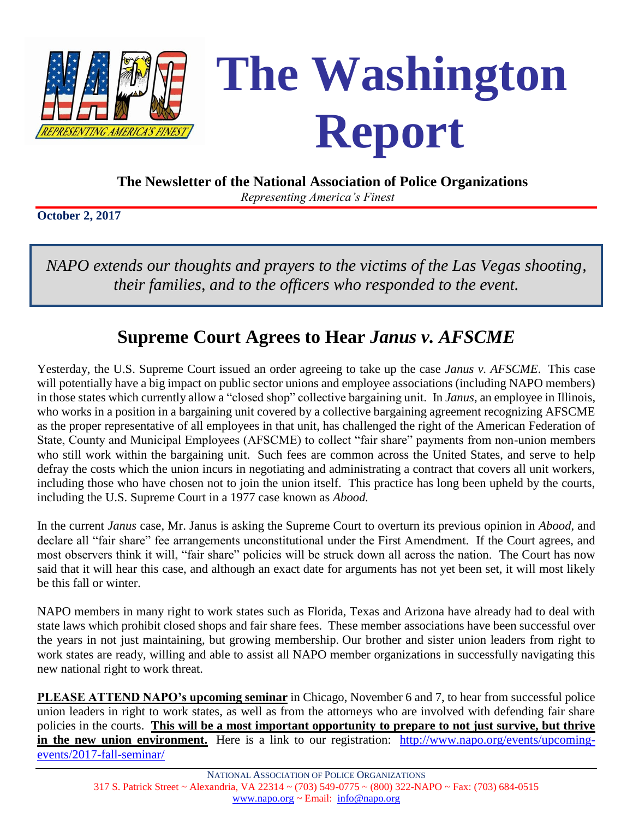

 **The Newsletter of the National Association of Police Organizations**

*Representing America's Finest*

**October 2, 2017**

*NAPO extends our thoughts and prayers to the victims of the Las Vegas shooting, their families, and to the officers who responded to the event.*

### **Supreme Court Agrees to Hear** *Janus v. AFSCME*

Yesterday, the U.S. Supreme Court issued an order agreeing to take up the case *Janus v. AFSCME*. This case will potentially have a big impact on public sector unions and employee associations (including NAPO members) in those states which currently allow a "closed shop" collective bargaining unit. In *Janus*, an employee in Illinois, who works in a position in a bargaining unit covered by a collective bargaining agreement recognizing AFSCME as the proper representative of all employees in that unit, has challenged the right of the American Federation of State, County and Municipal Employees (AFSCME) to collect "fair share" payments from non-union members who still work within the bargaining unit. Such fees are common across the United States, and serve to help defray the costs which the union incurs in negotiating and administrating a contract that covers all unit workers, including those who have chosen not to join the union itself. This practice has long been upheld by the courts, including the U.S. Supreme Court in a 1977 case known as *Abood.*

In the current *Janus* case, Mr. Janus is asking the Supreme Court to overturn its previous opinion in *Abood*, and declare all "fair share" fee arrangements unconstitutional under the First Amendment. If the Court agrees, and most observers think it will, "fair share" policies will be struck down all across the nation. The Court has now said that it will hear this case, and although an exact date for arguments has not yet been set, it will most likely be this fall or winter.

NAPO members in many right to work states such as Florida, Texas and Arizona have already had to deal with state laws which prohibit closed shops and fair share fees. These member associations have been successful over the years in not just maintaining, but growing membership. Our brother and sister union leaders from right to work states are ready, willing and able to assist all NAPO member organizations in successfully navigating this new national right to work threat.

**PLEASE ATTEND NAPO's upcoming seminar** in Chicago, November 6 and 7, to hear from successful police union leaders in right to work states, as well as from the attorneys who are involved with defending fair share policies in the courts. **This will be a most important opportunity to prepare to not just survive, but thrive**  in the new union environment. Here is a link to our registration: [http://www.napo.org/events/upcoming](http://www.napo.org/events/upcoming-events/2017-fall-seminar/)[events/2017-fall-seminar/](http://www.napo.org/events/upcoming-events/2017-fall-seminar/)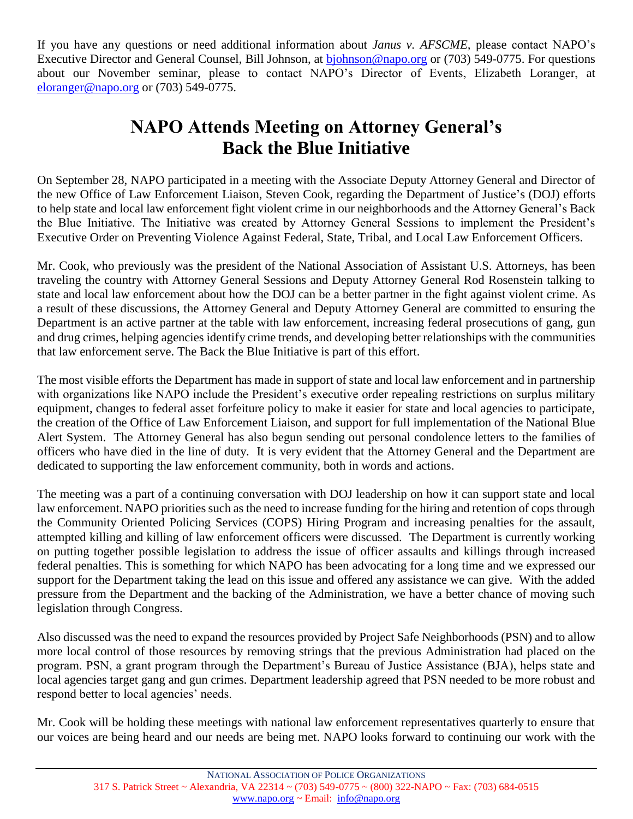If you have any questions or need additional information about *Janus v. AFSCME,* please contact NAPO's Executive Director and General Counsel, Bill Johnson, at biohnson@napo.org or (703) 549-0775. For questions about our November seminar, please to contact NAPO's Director of Events, Elizabeth Loranger, at [eloranger@napo.org](mailto:eloranger@napo.org) or (703) 549-0775.

## **NAPO Attends Meeting on Attorney General's Back the Blue Initiative**

On September 28, NAPO participated in a meeting with the Associate Deputy Attorney General and Director of the new Office of Law Enforcement Liaison, Steven Cook, regarding the Department of Justice's (DOJ) efforts to help state and local law enforcement fight violent crime in our neighborhoods and the Attorney General's Back the Blue Initiative. The Initiative was created by Attorney General Sessions to implement the President's Executive Order on Preventing Violence Against Federal, State, Tribal, and Local Law Enforcement Officers.

Mr. Cook, who previously was the president of the National Association of Assistant U.S. Attorneys, has been traveling the country with Attorney General Sessions and Deputy Attorney General Rod Rosenstein talking to state and local law enforcement about how the DOJ can be a better partner in the fight against violent crime. As a result of these discussions, the Attorney General and Deputy Attorney General are committed to ensuring the Department is an active partner at the table with law enforcement, increasing federal prosecutions of gang, gun and drug crimes, helping agencies identify crime trends, and developing better relationships with the communities that law enforcement serve. The Back the Blue Initiative is part of this effort.

The most visible efforts the Department has made in support of state and local law enforcement and in partnership with organizations like NAPO include the President's executive order repealing restrictions on surplus military equipment, changes to federal asset forfeiture policy to make it easier for state and local agencies to participate, the creation of the Office of Law Enforcement Liaison, and support for full implementation of the National Blue Alert System. The Attorney General has also begun sending out personal condolence letters to the families of officers who have died in the line of duty. It is very evident that the Attorney General and the Department are dedicated to supporting the law enforcement community, both in words and actions.

The meeting was a part of a continuing conversation with DOJ leadership on how it can support state and local law enforcement. NAPO priorities such as the need to increase funding for the hiring and retention of cops through the Community Oriented Policing Services (COPS) Hiring Program and increasing penalties for the assault, attempted killing and killing of law enforcement officers were discussed. The Department is currently working on putting together possible legislation to address the issue of officer assaults and killings through increased federal penalties. This is something for which NAPO has been advocating for a long time and we expressed our support for the Department taking the lead on this issue and offered any assistance we can give. With the added pressure from the Department and the backing of the Administration, we have a better chance of moving such legislation through Congress.

Also discussed was the need to expand the resources provided by Project Safe Neighborhoods (PSN) and to allow more local control of those resources by removing strings that the previous Administration had placed on the program. PSN, a grant program through the Department's Bureau of Justice Assistance (BJA), helps state and local agencies target gang and gun crimes. Department leadership agreed that PSN needed to be more robust and respond better to local agencies' needs.

Mr. Cook will be holding these meetings with national law enforcement representatives quarterly to ensure that our voices are being heard and our needs are being met. NAPO looks forward to continuing our work with the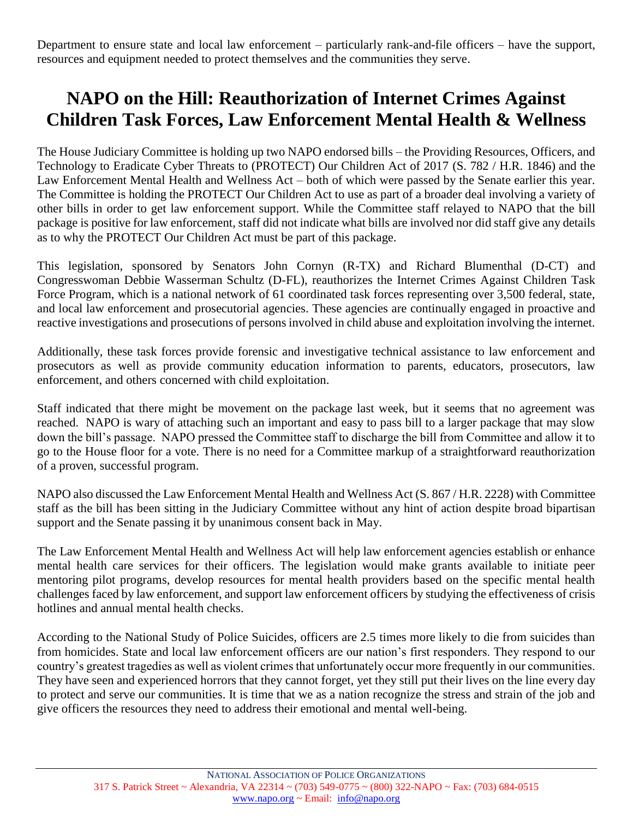Department to ensure state and local law enforcement – particularly rank-and-file officers – have the support, resources and equipment needed to protect themselves and the communities they serve.

## **NAPO on the Hill: Reauthorization of Internet Crimes Against Children Task Forces, Law Enforcement Mental Health & Wellness**

The House Judiciary Committee is holding up two NAPO endorsed bills – the Providing Resources, Officers, and Technology to Eradicate Cyber Threats to (PROTECT) Our Children Act of 2017 (S. 782 / H.R. 1846) and the Law Enforcement Mental Health and Wellness Act – both of which were passed by the Senate earlier this year. The Committee is holding the PROTECT Our Children Act to use as part of a broader deal involving a variety of other bills in order to get law enforcement support. While the Committee staff relayed to NAPO that the bill package is positive for law enforcement, staff did not indicate what bills are involved nor did staff give any details as to why the PROTECT Our Children Act must be part of this package.

This legislation, sponsored by Senators John Cornyn (R-TX) and Richard Blumenthal (D-CT) and Congresswoman Debbie Wasserman Schultz (D-FL), reauthorizes the Internet Crimes Against Children Task Force Program, which is a national network of 61 coordinated task forces representing over 3,500 federal, state, and local law enforcement and prosecutorial agencies. These agencies are continually engaged in proactive and reactive investigations and prosecutions of persons involved in child abuse and exploitation involving the internet.

Additionally, these task forces provide forensic and investigative technical assistance to law enforcement and prosecutors as well as provide community education information to parents, educators, prosecutors, law enforcement, and others concerned with child exploitation.

Staff indicated that there might be movement on the package last week, but it seems that no agreement was reached. NAPO is wary of attaching such an important and easy to pass bill to a larger package that may slow down the bill's passage. NAPO pressed the Committee staff to discharge the bill from Committee and allow it to go to the House floor for a vote. There is no need for a Committee markup of a straightforward reauthorization of a proven, successful program.

NAPO also discussed the Law Enforcement Mental Health and Wellness Act (S. 867 / H.R. 2228) with Committee staff as the bill has been sitting in the Judiciary Committee without any hint of action despite broad bipartisan support and the Senate passing it by unanimous consent back in May.

The Law Enforcement Mental Health and Wellness Act will help law enforcement agencies establish or enhance mental health care services for their officers. The legislation would make grants available to initiate peer mentoring pilot programs, develop resources for mental health providers based on the specific mental health challenges faced by law enforcement, and support law enforcement officers by studying the effectiveness of crisis hotlines and annual mental health checks.

According to the National Study of Police Suicides, officers are 2.5 times more likely to die from suicides than from homicides. State and local law enforcement officers are our nation's first responders. They respond to our country's greatest tragedies as well as violent crimes that unfortunately occur more frequently in our communities. They have seen and experienced horrors that they cannot forget, yet they still put their lives on the line every day to protect and serve our communities. It is time that we as a nation recognize the stress and strain of the job and give officers the resources they need to address their emotional and mental well-being.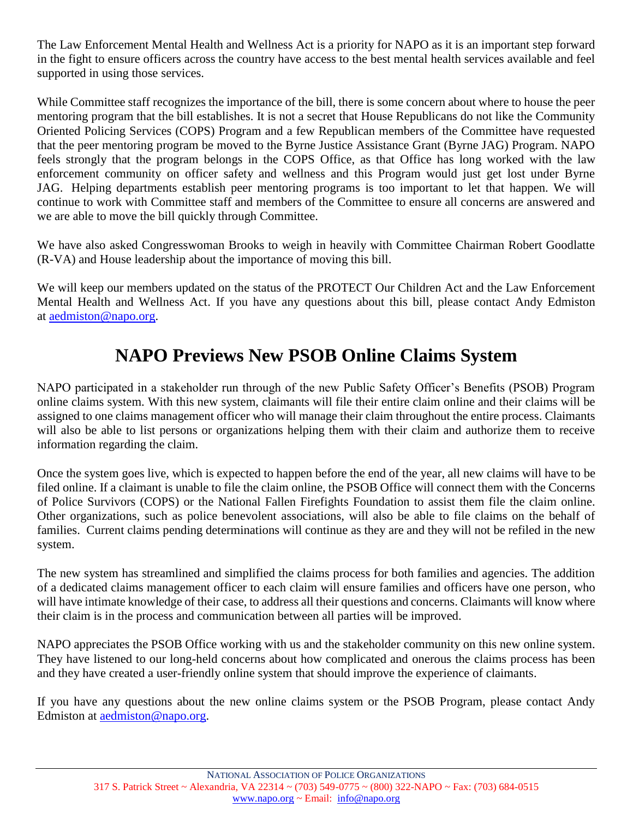The Law Enforcement Mental Health and Wellness Act is a priority for NAPO as it is an important step forward in the fight to ensure officers across the country have access to the best mental health services available and feel supported in using those services.

While Committee staff recognizes the importance of the bill, there is some concern about where to house the peer mentoring program that the bill establishes. It is not a secret that House Republicans do not like the Community Oriented Policing Services (COPS) Program and a few Republican members of the Committee have requested that the peer mentoring program be moved to the Byrne Justice Assistance Grant (Byrne JAG) Program. NAPO feels strongly that the program belongs in the COPS Office, as that Office has long worked with the law enforcement community on officer safety and wellness and this Program would just get lost under Byrne JAG. Helping departments establish peer mentoring programs is too important to let that happen. We will continue to work with Committee staff and members of the Committee to ensure all concerns are answered and we are able to move the bill quickly through Committee.

We have also asked Congresswoman Brooks to weigh in heavily with Committee Chairman Robert Goodlatte (R-VA) and House leadership about the importance of moving this bill.

We will keep our members updated on the status of the PROTECT Our Children Act and the Law Enforcement Mental Health and Wellness Act. If you have any questions about this bill, please contact Andy Edmiston at [aedmiston@napo.org.](mailto:aedmiston@napo.org)

# **NAPO Previews New PSOB Online Claims System**

NAPO participated in a stakeholder run through of the new Public Safety Officer's Benefits (PSOB) Program online claims system. With this new system, claimants will file their entire claim online and their claims will be assigned to one claims management officer who will manage their claim throughout the entire process. Claimants will also be able to list persons or organizations helping them with their claim and authorize them to receive information regarding the claim.

Once the system goes live, which is expected to happen before the end of the year, all new claims will have to be filed online. If a claimant is unable to file the claim online, the PSOB Office will connect them with the Concerns of Police Survivors (COPS) or the National Fallen Firefights Foundation to assist them file the claim online. Other organizations, such as police benevolent associations, will also be able to file claims on the behalf of families. Current claims pending determinations will continue as they are and they will not be refiled in the new system.

The new system has streamlined and simplified the claims process for both families and agencies. The addition of a dedicated claims management officer to each claim will ensure families and officers have one person, who will have intimate knowledge of their case, to address all their questions and concerns. Claimants will know where their claim is in the process and communication between all parties will be improved.

NAPO appreciates the PSOB Office working with us and the stakeholder community on this new online system. They have listened to our long-held concerns about how complicated and onerous the claims process has been and they have created a user-friendly online system that should improve the experience of claimants.

If you have any questions about the new online claims system or the PSOB Program, please contact Andy Edmiston at [aedmiston@napo.org.](mailto:aedmiston@napo.org)